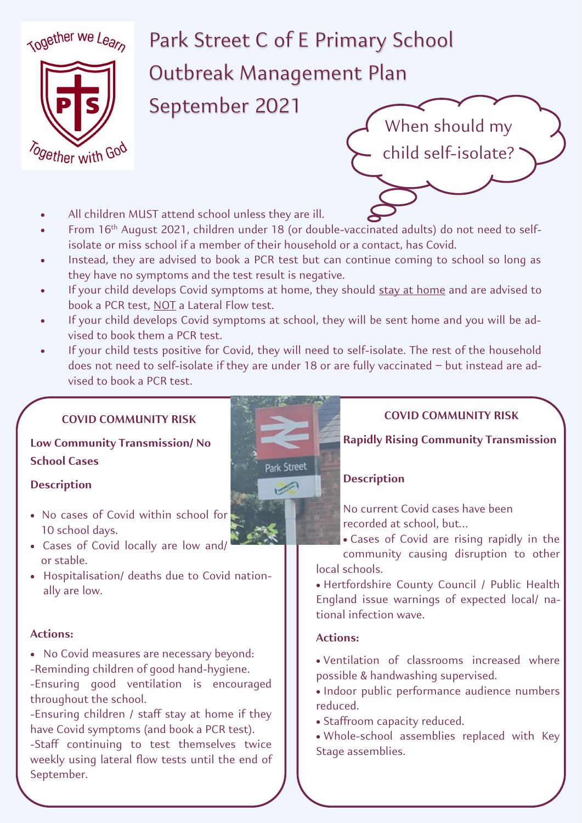

# Park Street C of E Primary School Outbreak Management Plan

September 2021

- All children MUST attend school unless they are ill.
- From 16th August 2021, children under 18 (or double-vaccinated adults) do not need to selfisolate or miss school if a member of their household or a contact, has Covid.
- Instead, they are advised to book a PCR test but can continue coming to school so long as they have no symptoms and the test result is negative.
- If your child develops Covid symptoms at home, they should stay at home and are advised to book a PCR test, NOT a Lateral Flow test.
- If your child develops Covid symptoms at school, they will be sent home and you will be advised to book them a PCR test.
- If your child tests positive for Covid, they will need to self-isolate. The rest of the household does not need to self-isolate if they are under 18 or are fully vaccinated – but instead are advised to book a PCR test.

# **COVID COMMUNITY RISK**

# **Low Community Transmission/ No School Cases**

#### **Description**

- No cases of Covid within school for 10 school days.
- Cases of Covid locally are low and/ or stable.
- Hospitalisation/ deaths due to Covid nationally are low.

## **Actions:**

- No Covid measures are necessary beyond: -Reminding children of good hand-hygiene.
- -Ensuring good ventilation is encouraged throughout the school.

-Ensuring children / staff stay at home if they have Covid symptoms (and book a PCR test).

-Staff continuing to test themselves twice weekly using lateral flow tests until the end of September.



# **COVID COMMUNITY RISK**

**Rapidly Rising Community Transmission**

## **Description**

No current Covid cases have been recorded at school, but…

- Cases of Covid are rising rapidly in the community causing disruption to other local schools.
- Hertfordshire County Council / Public Health England issue warnings of expected local/ national infection wave.

## **Actions:**

- Ventilation of classrooms increased where possible & handwashing supervised.
- Indoor public performance audience numbers reduced.
- Staffroom capacity reduced.
- Whole-school assemblies replaced with Key Stage assemblies.